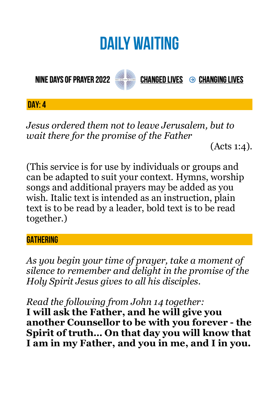# **DAILY WAITING**

**NINE DAYS OF PRAYER 2022** 



**CHANGED LIVES → CHANGING LIVES** 

**DAY: 4**

*Jesus ordered them not to leave Jerusalem, but to wait there for the promise of the Father* 

(Acts 1:4).

(This service is for use by individuals or groups and can be adapted to suit your context. Hymns, worship songs and additional prayers may be added as you wish. Italic text is intended as an instruction, plain text is to be read by a leader, bold text is to be read together.)

#### **GATHERING**

*As you begin your time of prayer, take a moment of silence to remember and delight in the promise of the Holy Spirit Jesus gives to all his disciples.*

*Read the following from John 14 together:* 

**I will ask the Father, and he will give you another Counsellor to be with you forever - the Spirit of truth… On that day you will know that I am in my Father, and you in me, and I in you.**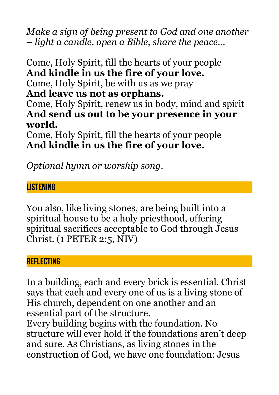*Make a sign of being present to God and one another – light a candle, open a Bible, share the peace…* 

Come, Holy Spirit, fill the hearts of your people **And kindle in us the fire of your love.**  Come, Holy Spirit, be with us as we pray **And leave us not as orphans.**  Come, Holy Spirit, renew us in body, mind and spirit **And send us out to be your presence in your world.**  Come, Holy Spirit, fill the hearts of your people

**And kindle in us the fire of your love.** 

*Optional hymn or worship song.* 

## **LISTENING**

You also, like living stones, are being built into a spiritual house to be a holy priesthood, offering spiritual sacrifices acceptable to God through Jesus Christ. (1 PETER 2:5, NIV)

#### **REFLECTING**

In a building, each and every brick is essential. Christ says that each and every one of us is a living stone of His church, dependent on one another and an essential part of the structure.

Every building begins with the foundation. No structure will ever hold if the foundations aren't deep and sure. As Christians, as living stones in the construction of God, we have one foundation: Jesus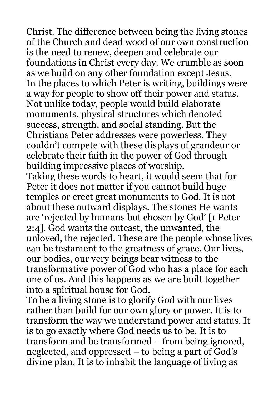Christ. The difference between being the living stones of the Church and dead wood of our own construction is the need to renew, deepen and celebrate our foundations in Christ every day. We crumble as soon as we build on any other foundation except Jesus. In the places to which Peter is writing, buildings were a way for people to show off their power and status. Not unlike today, people would build elaborate monuments, physical structures which denoted success, strength, and social standing. But the Christians Peter addresses were powerless. They couldn't compete with these displays of grandeur or celebrate their faith in the power of God through building impressive places of worship.

Taking these words to heart, it would seem that for Peter it does not matter if you cannot build huge temples or erect great monuments to God. It is not about these outward displays. The stones He wants are 'rejected by humans but chosen by God' [1 Peter 2:4]. God wants the outcast, the unwanted, the unloved, the rejected. These are the people whose lives can be testament to the greatness of grace. Our lives, our bodies, our very beings bear witness to the transformative power of God who has a place for each one of us. And this happens as we are built together into a spiritual house for God.

To be a living stone is to glorify God with our lives rather than build for our own glory or power. It is to transform the way we understand power and status. It is to go exactly where God needs us to be. It is to transform and be transformed – from being ignored, neglected, and oppressed – to being a part of God's divine plan. It is to inhabit the language of living as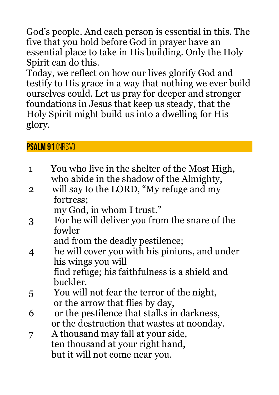God's people. And each person is essential in this. The five that you hold before God in prayer have an essential place to take in His building. Only the Holy Spirit can do this.

Today, we reflect on how our lives glorify God and testify to His grace in a way that nothing we ever build ourselves could. Let us pray for deeper and stronger foundations in Jesus that keep us steady, that the Holy Spirit might build us into a dwelling for His glory.

## **Psalm 91** (NRSV)

- 1 You who live in the shelter of the Most High, who abide in the shadow of the Almighty,
- 2 will say to the LORD, "My refuge and my fortress;

my God, in whom I trust."

 3 For he will deliver you from the snare of the fowler

and from the deadly pestilence;

 4 he will cover you with his pinions, and under his wings you will find refuge; his faithfulness is a shield and

buckler.

- 5 You will not fear the terror of the night, or the arrow that flies by day,
- 6 or the pestilence that stalks in darkness, or the destruction that wastes at noonday.
- 7 A thousand may fall at your side, ten thousand at your right hand, but it will not come near you.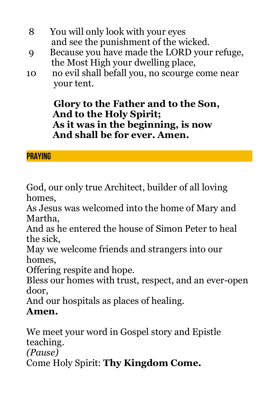- 8 You will only look with your eyes and see the punishment of the wicked.
- 9 Because you have made the LORD your refuge, the Most High your dwelling place,
- 10 no evil shall befall you, no scourge come near your tent.

 **Glory to the Father and to the Son, And to the Holy Spirit; As it was in the beginning, is now And shall be for ever. Amen.**

# **PRAYING**

God, our only true Architect, builder of all loving homes,

As Jesus was welcomed into the home of Mary and Martha,

And as he entered the house of Simon Peter to heal the sick,

May we welcome friends and strangers into our homes,

Offering respite and hope.

Bless our homes with trust, respect, and an ever-open door,

And our hospitals as places of healing.

# **Amen.**

We meet your word in Gospel story and Epistle teaching. *(Pause)*

Come Holy Spirit: **Thy Kingdom Come.**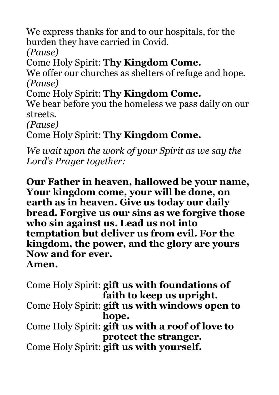We express thanks for and to our hospitals, for the burden they have carried in Covid.

*(Pause)*

Come Holy Spirit: **Thy Kingdom Come.**

We offer our churches as shelters of refuge and hope. *(Pause)*

Come Holy Spirit: **Thy Kingdom Come.**

We bear before you the homeless we pass daily on our streets.

*(Pause)*

Come Holy Spirit: **Thy Kingdom Come.**

*We wait upon the work of your Spirit as we say the Lord's Prayer together:*

**Our Father in heaven, hallowed be your name, Your kingdom come, your will be done, on earth as in heaven. Give us today our daily bread. Forgive us our sins as we forgive those who sin against us. Lead us not into temptation but deliver us from evil. For the kingdom, the power, and the glory are yours Now and for ever. Amen.**

Come Holy Spirit: **gift us with foundations of faith to keep us upright.** Come Holy Spirit: **gift us with windows open to hope.** Come Holy Spirit: **gift us with a roof of love to protect the stranger.** Come Holy Spirit: **gift us with yourself.**